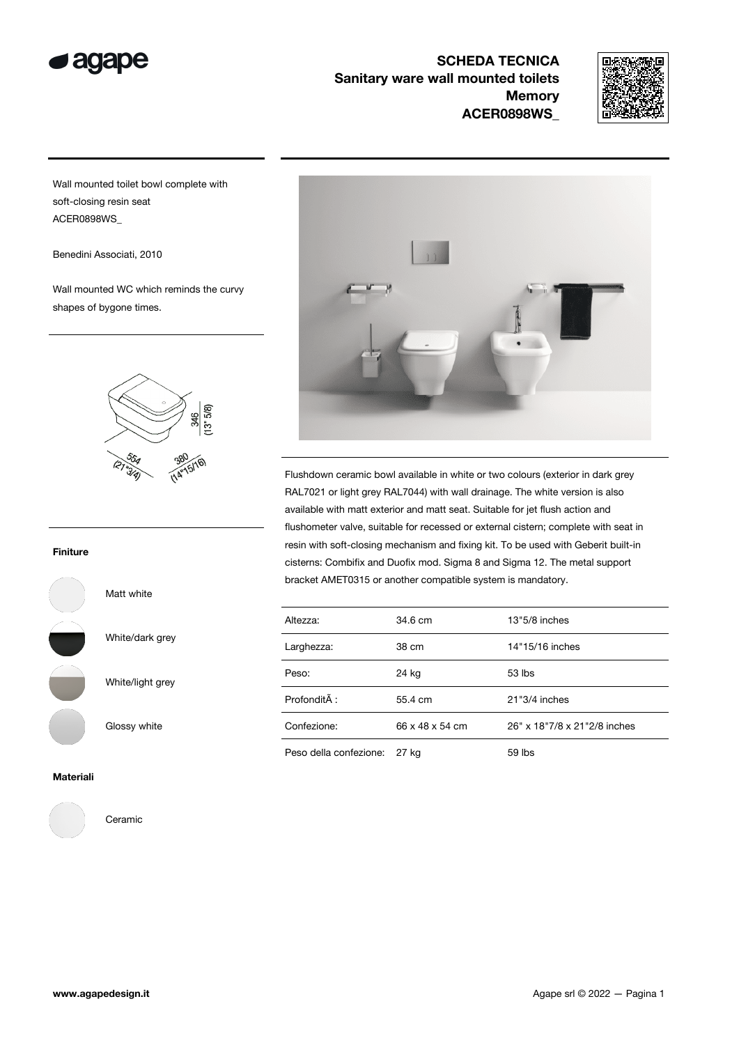

SCHEDA TECNICA Sanitary ware wall mounted toilets **Memory** ACER0898WS\_



Wall mounted toilet bowl complete with soft-closing resin seat ACER0898WS\_

Benedini Associati, 2010

Wall mounted WC which reminds the curvy shapes of bygone times.



Flushdown ceramic bowl available in white or two colours (exterior in dark grey RAL7021 or light grey RAL7044) with wall drainage. The white version is also available with matt exterior and matt seat. Suitable for jet flush action and flushometer valve, suitable for recessed or external cistern; complete with seat in resin with soft-closing mechanism and fixing kit. To be used with Geberit built-in cisterns: Combifix and Duofix mod. Sigma 8 and Sigma 12. The metal support bracket AMET0315 or another compatible system is mandatory.

| Altezza:               | 34.6 cm         | $13"5/8$ inches              |
|------------------------|-----------------|------------------------------|
| Larghezza:             | 38 cm           | 14"15/16 inches              |
| Peso:                  | 24 kg           | $53$ lbs                     |
| Profondità :           | 55.4 cm         | 21"3/4 inches                |
| Confezione:            | 66 x 48 x 54 cm | 26" x 18"7/8 x 21"2/8 inches |
| Peso della confezione: | 27 kg           | $59$ lbs                     |

Finiture



Matt white

White/light grey

White/dark grey

Glossy white

## Materiali



Ceramic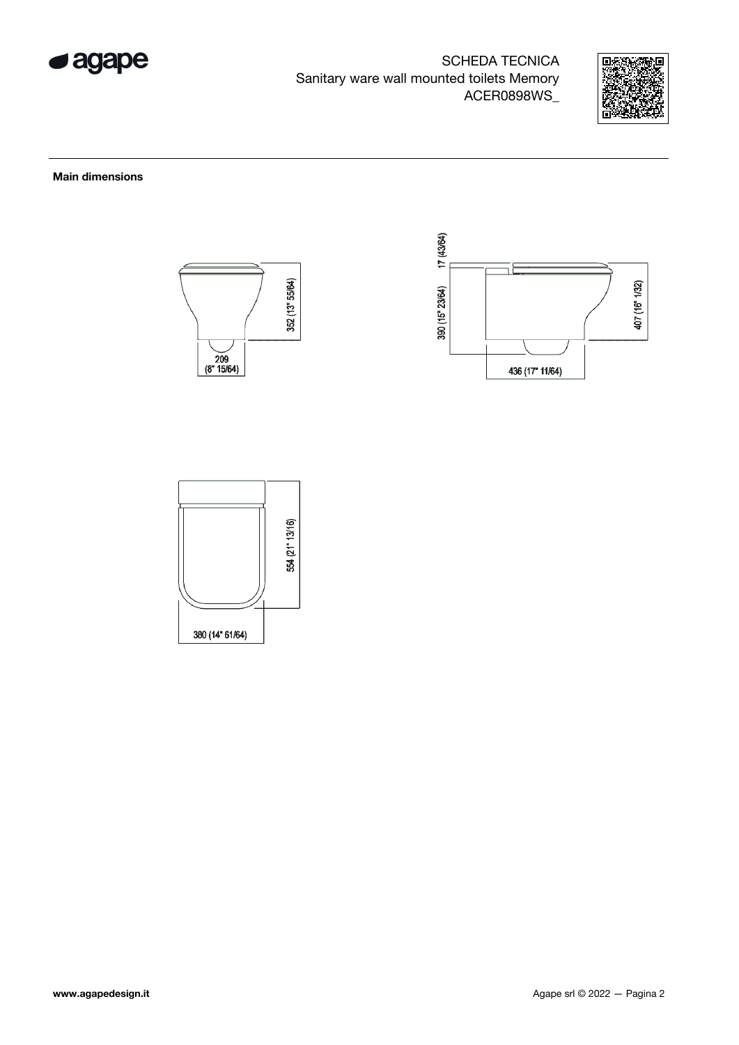

SCHEDA TECNICA Sanitary ware wall mounted toilets Memory ACER0898WS\_



## Main dimensions